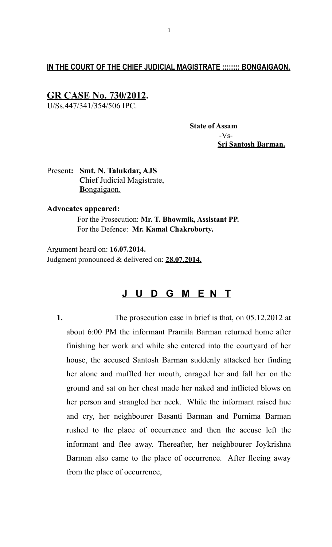## **IN THE COURT OF THE CHIEF JUDICIAL MAGISTRATE :::::::: BONGAIGAON.**

# **GR CASE No. 730/2012.**

**U**/Ss.447/341/354/506 IPC.

 **State of Assam**  $-Vs-$  **Sri Santosh Barman.**

Present**: Smt. N. Talukdar, AJS C**hief Judicial Magistrate,  **B** ongaigaon.

### **Advocates appeared:**

 For the Prosecution: **Mr. T. Bhowmik, Assistant PP.** For the Defence: **Mr. Kamal Chakroborty.**

Argument heard on: **16.07.2014.** Judgment pronounced & delivered on: **28.07.2014.**

# **J U D G M E N T**

**1.** The prosecution case in brief is that, on 05.12.2012 at about 6:00 PM the informant Pramila Barman returned home after finishing her work and while she entered into the courtyard of her house, the accused Santosh Barman suddenly attacked her finding her alone and muffled her mouth, enraged her and fall her on the ground and sat on her chest made her naked and inflicted blows on her person and strangled her neck. While the informant raised hue and cry, her neighbourer Basanti Barman and Purnima Barman rushed to the place of occurrence and then the accuse left the informant and flee away. Thereafter, her neighbourer Joykrishna Barman also came to the place of occurrence. After fleeing away from the place of occurrence,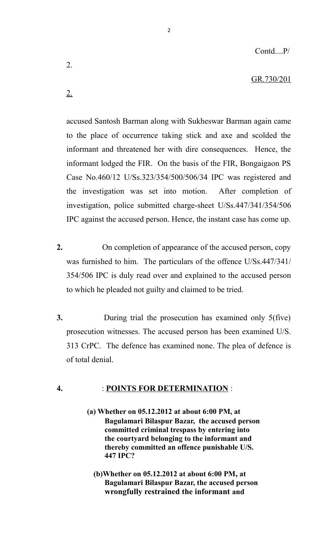### GR.730/201

accused Santosh Barman along with Sukheswar Barman again came to the place of occurrence taking stick and axe and scolded the informant and threatened her with dire consequences. Hence, the informant lodged the FIR. On the basis of the FIR, Bongaigaon PS Case No.460/12 U/Ss.323/354/500/506/34 IPC was registered and the investigation was set into motion. After completion of investigation, police submitted charge-sheet U/Ss.447/341/354/506 IPC against the accused person. Hence, the instant case has come up.

2

- **2.** On completion of appearance of the accused person, copy was furnished to him. The particulars of the offence U/Ss.447/341/ 354/506 IPC is duly read over and explained to the accused person to which he pleaded not guilty and claimed to be tried.
- **3.** During trial the prosecution has examined only 5(five) prosecution witnesses. The accused person has been examined U/S. 313 CrPC. The defence has examined none. The plea of defence is of total denial.

### **4.** : **POINTS FOR DETERMINATION** :

- **(a) Whether on 05.12.2012 at about 6:00 PM, at Bagulamari Bilaspur Bazar, the accused person committed criminal trespass by entering into the courtyard belonging to the informant and thereby committed an offence punishable U/S. 447 IPC?**
	- **(b)Whether on 05.12.2012 at about 6:00 PM, at Bagulamari Bilaspur Bazar, the accused person wrongfully restrained the informant and**

2.

2.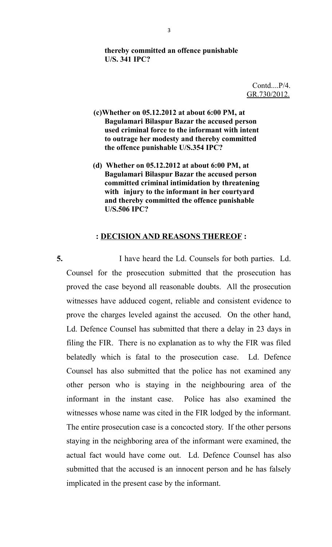### **thereby committed an offence punishable U/S. 341 IPC?**

Contd....P/4. GR.730/2012.

- **(c)Whether on 05.12.2012 at about 6:00 PM, at Bagulamari Bilaspur Bazar the accused person used criminal force to the informant with intent to outrage her modesty and thereby committed the offence punishable U/S.354 IPC?**
- **(d) Whether on 05.12.2012 at about 6:00 PM, at Bagulamari Bilaspur Bazar the accused person committed criminal intimidation by threatening with injury to the informant in her courtyard and thereby committed the offence punishable U/S.506 IPC?**

### **: DECISION AND REASONS THEREOF :**

**5.** I have heard the Ld. Counsels for both parties. Ld. Counsel for the prosecution submitted that the prosecution has proved the case beyond all reasonable doubts. All the prosecution witnesses have adduced cogent, reliable and consistent evidence to prove the charges leveled against the accused. On the other hand, Ld. Defence Counsel has submitted that there a delay in 23 days in filing the FIR. There is no explanation as to why the FIR was filed belatedly which is fatal to the prosecution case. Ld. Defence Counsel has also submitted that the police has not examined any other person who is staying in the neighbouring area of the informant in the instant case. Police has also examined the witnesses whose name was cited in the FIR lodged by the informant. The entire prosecution case is a concocted story. If the other persons staying in the neighboring area of the informant were examined, the actual fact would have come out. Ld. Defence Counsel has also submitted that the accused is an innocent person and he has falsely implicated in the present case by the informant.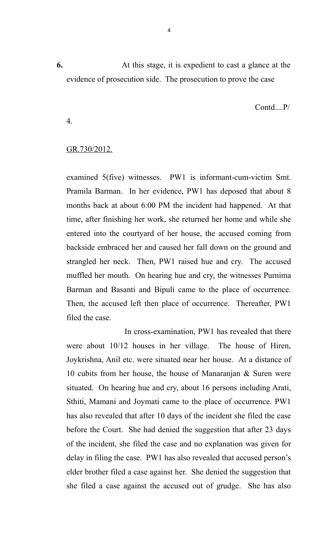**6.** At this stage, it is expedient to cast a glance at the evidence of prosecution side. The prosecution to prove the case

Contd....P/

GR.730/2012.

4.

examined 5(five) witnesses. PW1 is informant-cum-victim Smt. Pramila Barman. In her evidence, PW1 has deposed that about 8 months back at about 6:00 PM the incident had happened. At that time, after finishing her work, she returned her home and while she entered into the courtyard of her house, the accused coming from backside embraced her and caused her fall down on the ground and strangled her neck. Then, PW1 raised hue and cry. The accused muffled her mouth. On hearing hue and cry, the witnesses Purnima Barman and Basanti and Bipuli came to the place of occurrence. Then, the accused left then place of occurrence. Thereafter, PW1 filed the case.

 In cross-examination, PW1 has revealed that there were about 10/12 houses in her village. The house of Hiren, Joykrishna, Anil etc. were situated near her house. At a distance of 10 cubits from her house, the house of Manaranjan & Suren were situated. On hearing hue and cry, about 16 persons including Arati, Sthiti, Mamani and Joymati came to the place of occurrence. PW1 has also revealed that after 10 days of the incident she filed the case before the Court. She had denied the suggestion that after 23 days of the incident, she filed the case and no explanation was given for delay in filing the case. PW1 has also revealed that accused person's elder brother filed a case against her. She denied the suggestion that she filed a case against the accused out of grudge. She has also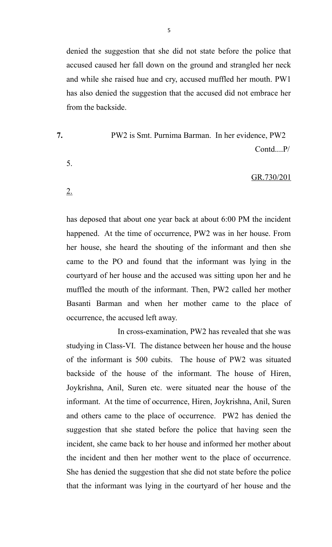denied the suggestion that she did not state before the police that accused caused her fall down on the ground and strangled her neck and while she raised hue and cry, accused muffled her mouth. PW1 has also denied the suggestion that the accused did not embrace her from the backside.

**7.** PW2 is Smt. Purnima Barman. In her evidence, PW2 Contd....P/

5.

2.

### GR.730/201

has deposed that about one year back at about 6:00 PM the incident happened. At the time of occurrence, PW2 was in her house. From her house, she heard the shouting of the informant and then she came to the PO and found that the informant was lying in the courtyard of her house and the accused was sitting upon her and he muffled the mouth of the informant. Then, PW2 called her mother Basanti Barman and when her mother came to the place of occurrence, the accused left away.

 In cross-examination, PW2 has revealed that she was studying in Class-VI. The distance between her house and the house of the informant is 500 cubits. The house of PW2 was situated backside of the house of the informant. The house of Hiren, Joykrishna, Anil, Suren etc. were situated near the house of the informant. At the time of occurrence, Hiren, Joykrishna, Anil, Suren and others came to the place of occurrence. PW2 has denied the suggestion that she stated before the police that having seen the incident, she came back to her house and informed her mother about the incident and then her mother went to the place of occurrence. She has denied the suggestion that she did not state before the police that the informant was lying in the courtyard of her house and the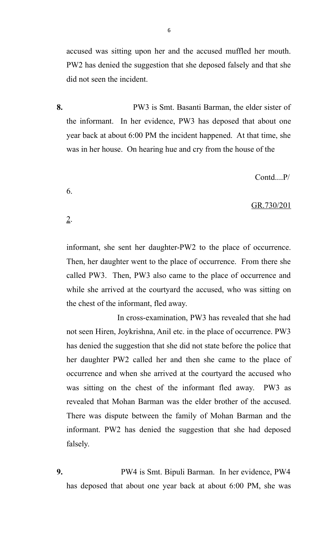accused was sitting upon her and the accused muffled her mouth. PW2 has denied the suggestion that she deposed falsely and that she did not seen the incident.

**8.** PW3 is Smt. Basanti Barman, the elder sister of the informant. In her evidence, PW3 has deposed that about one year back at about 6:00 PM the incident happened. At that time, she was in her house. On hearing hue and cry from the house of the

6.

2.

Contd....P/

### GR.730/201

informant, she sent her daughter-PW2 to the place of occurrence. Then, her daughter went to the place of occurrence. From there she called PW3. Then, PW3 also came to the place of occurrence and while she arrived at the courtyard the accused, who was sitting on the chest of the informant, fled away.

 In cross-examination, PW3 has revealed that she had not seen Hiren, Joykrishna, Anil etc. in the place of occurrence. PW3 has denied the suggestion that she did not state before the police that her daughter PW2 called her and then she came to the place of occurrence and when she arrived at the courtyard the accused who was sitting on the chest of the informant fled away. PW3 as revealed that Mohan Barman was the elder brother of the accused. There was dispute between the family of Mohan Barman and the informant. PW2 has denied the suggestion that she had deposed falsely.

**9.** PW4 is Smt. Bipuli Barman. In her evidence, PW4 has deposed that about one year back at about 6:00 PM, she was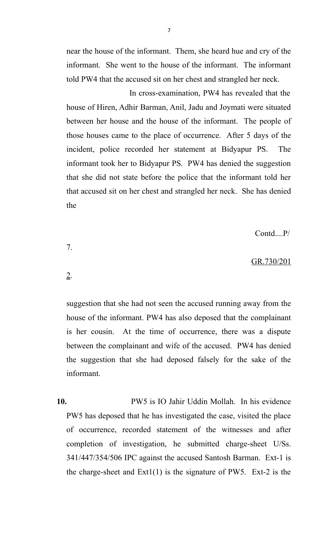near the house of the informant. Them, she heard hue and cry of the informant. She went to the house of the informant. The informant told PW4 that the accused sit on her chest and strangled her neck.

 In cross-examination, PW4 has revealed that the house of Hiren, Adhir Barman, Anil, Jadu and Joymati were situated between her house and the house of the informant. The people of those houses came to the place of occurrence. After 5 days of the incident, police recorded her statement at Bidyapur PS. The informant took her to Bidyapur PS. PW4 has denied the suggestion that she did not state before the police that the informant told her that accused sit on her chest and strangled her neck. She has denied the

Contd....P/

### GR.730/201

2.

7.

suggestion that she had not seen the accused running away from the house of the informant. PW4 has also deposed that the complainant is her cousin. At the time of occurrence, there was a dispute between the complainant and wife of the accused. PW4 has denied the suggestion that she had deposed falsely for the sake of the informant.

**10.** PW5 is IO Jahir Uddin Mollah. In his evidence PW5 has deposed that he has investigated the case, visited the place of occurrence, recorded statement of the witnesses and after completion of investigation, he submitted charge-sheet U/Ss. 341/447/354/506 IPC against the accused Santosh Barman. Ext-1 is the charge-sheet and  $Ext1(1)$  is the signature of PW5. Ext-2 is the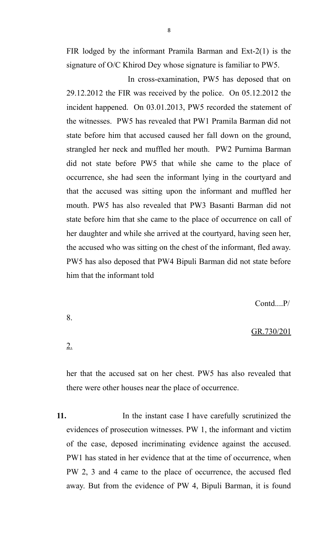FIR lodged by the informant Pramila Barman and Ext-2(1) is the signature of O/C Khirod Dey whose signature is familiar to PW5.

 In cross-examination, PW5 has deposed that on 29.12.2012 the FIR was received by the police. On 05.12.2012 the incident happened. On 03.01.2013, PW5 recorded the statement of the witnesses. PW5 has revealed that PW1 Pramila Barman did not state before him that accused caused her fall down on the ground, strangled her neck and muffled her mouth. PW2 Purnima Barman did not state before PW5 that while she came to the place of occurrence, she had seen the informant lying in the courtyard and that the accused was sitting upon the informant and muffled her mouth. PW5 has also revealed that PW3 Basanti Barman did not state before him that she came to the place of occurrence on call of her daughter and while she arrived at the courtyard, having seen her, the accused who was sitting on the chest of the informant, fled away. PW5 has also deposed that PW4 Bipuli Barman did not state before him that the informant told

Contd....P/

### GR.730/201

her that the accused sat on her chest. PW5 has also revealed that there were other houses near the place of occurrence.

8.

2.

**11.** In the instant case I have carefully scrutinized the evidences of prosecution witnesses. PW 1, the informant and victim of the case, deposed incriminating evidence against the accused. PW1 has stated in her evidence that at the time of occurrence, when PW 2, 3 and 4 came to the place of occurrence, the accused fled away. But from the evidence of PW 4, Bipuli Barman, it is found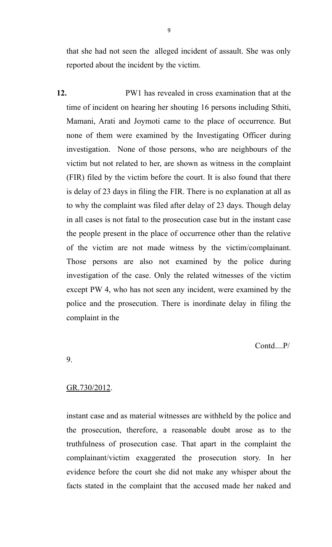that she had not seen the alleged incident of assault. She was only reported about the incident by the victim.

**12.** PW1 has revealed in cross examination that at the time of incident on hearing her shouting 16 persons including Sthiti, Mamani, Arati and Joymoti came to the place of occurrence. But none of them were examined by the Investigating Officer during investigation. None of those persons, who are neighbours of the victim but not related to her, are shown as witness in the complaint (FIR) filed by the victim before the court. It is also found that there is delay of 23 days in filing the FIR. There is no explanation at all as to why the complaint was filed after delay of 23 days. Though delay in all cases is not fatal to the prosecution case but in the instant case the people present in the place of occurrence other than the relative of the victim are not made witness by the victim/complainant. Those persons are also not examined by the police during investigation of the case. Only the related witnesses of the victim except PW 4, who has not seen any incident, were examined by the police and the prosecution. There is inordinate delay in filing the complaint in the

Contd....P/

9.

### GR.730/2012.

instant case and as material witnesses are withheld by the police and the prosecution, therefore, a reasonable doubt arose as to the truthfulness of prosecution case. That apart in the complaint the complainant/victim exaggerated the prosecution story. In her evidence before the court she did not make any whisper about the facts stated in the complaint that the accused made her naked and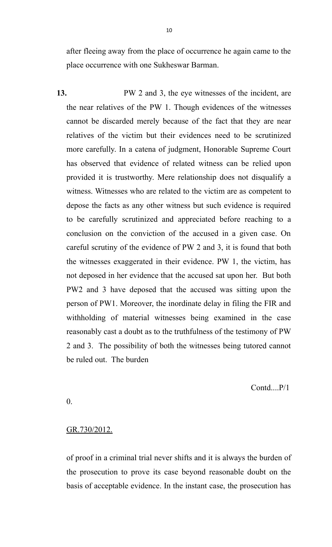after fleeing away from the place of occurrence he again came to the place occurrence with one Sukheswar Barman.

**13.** PW 2 and 3, the eye witnesses of the incident, are the near relatives of the PW 1. Though evidences of the witnesses cannot be discarded merely because of the fact that they are near relatives of the victim but their evidences need to be scrutinized more carefully. In a catena of judgment, Honorable Supreme Court has observed that evidence of related witness can be relied upon provided it is trustworthy. Mere relationship does not disqualify a witness. Witnesses who are related to the victim are as competent to depose the facts as any other witness but such evidence is required to be carefully scrutinized and appreciated before reaching to a conclusion on the conviction of the accused in a given case. On careful scrutiny of the evidence of PW 2 and 3, it is found that both the witnesses exaggerated in their evidence. PW 1, the victim, has not deposed in her evidence that the accused sat upon her. But both PW2 and 3 have deposed that the accused was sitting upon the person of PW1. Moreover, the inordinate delay in filing the FIR and withholding of material witnesses being examined in the case reasonably cast a doubt as to the truthfulness of the testimony of PW 2 and 3. The possibility of both the witnesses being tutored cannot be ruled out. The burden

Contd....P/1

0.

### GR.730/2012.

of proof in a criminal trial never shifts and it is always the burden of the prosecution to prove its case beyond reasonable doubt on the basis of acceptable evidence. In the instant case, the prosecution has